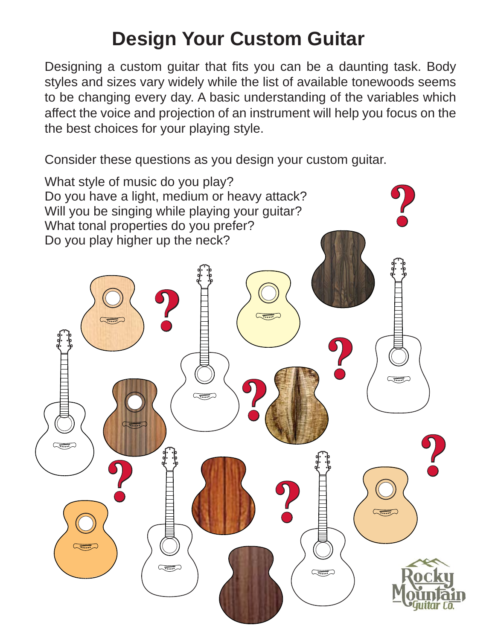# **Design Your Custom Guitar**

Designing a custom guitar that fits you can be a daunting task. Body styles and sizes vary widely while the list of available tonewoods seems to be changing every day. A basic understanding of the variables which affect the voice and projection of an instrument will help you focus on the the best choices for your playing style.

Consider these questions as you design your custom guitar.

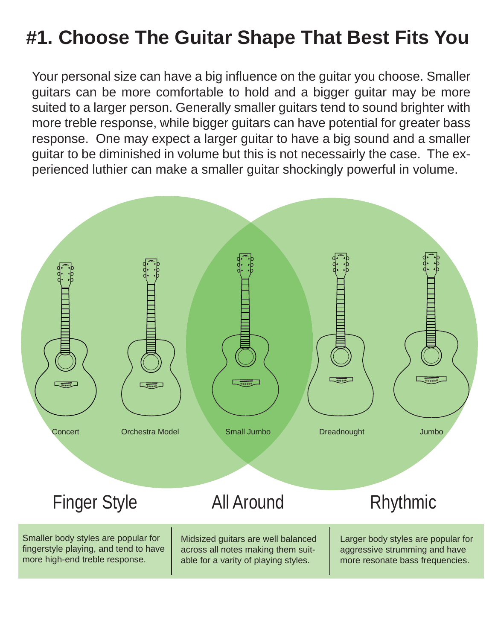# **#1. Choose The Guitar Shape That Best Fits You**

Your personal size can have a big influence on the guitar you choose. Smaller guitars can be more comfortable to hold and a bigger guitar may be more suited to a larger person. Generally smaller guitars tend to sound brighter with more treble response, while bigger guitars can have potential for greater bass response. One may expect a larger guitar to have a big sound and a smaller guitar to be diminished in volume but this is not necessairly the case. The experienced luthier can make a smaller guitar shockingly powerful in volume.

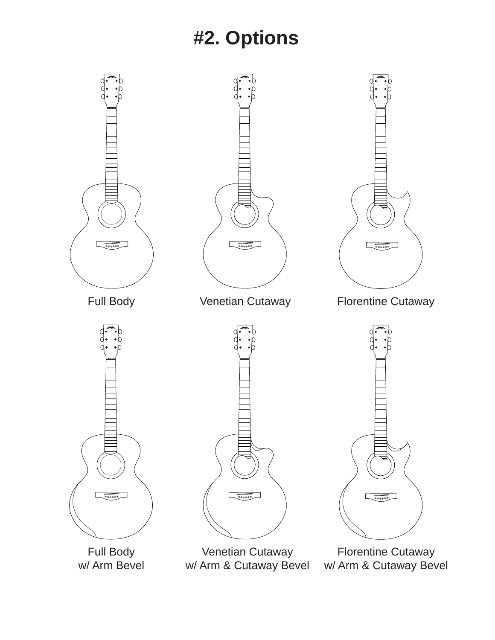## **#2. Options**

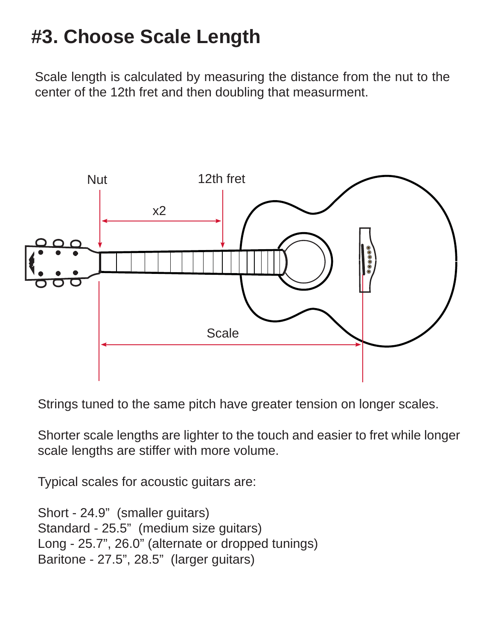# **#3. Choose Scale Length**

Scale length is calculated by measuring the distance from the nut to the center of the 12th fret and then doubling that measurment.



Strings tuned to the same pitch have greater tension on longer scales.

Shorter scale lengths are lighter to the touch and easier to fret while longer scale lengths are stiffer with more volume.

Typical scales for acoustic guitars are:

```
Short - 24.9" (smaller guitars)
Standard - 25.5" (medium size guitars)
Long - 25.7", 26.0" (alternate or dropped tunings)
Baritone - 27.5", 28.5" (larger guitars)
```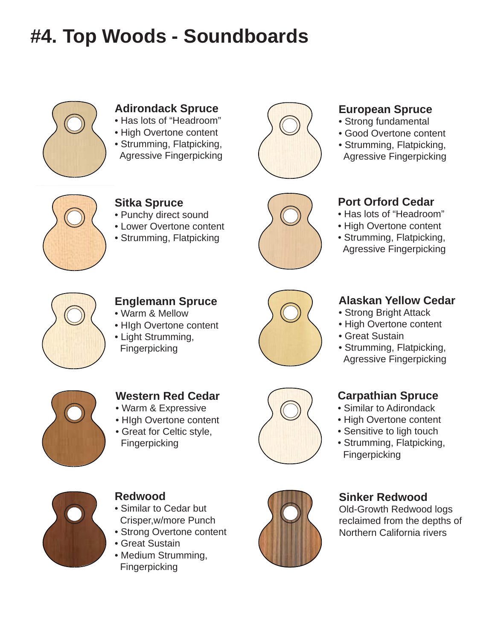# **#4. Top Woods - Soundboards**



### **Adirondack Spruce**

- Has lots of "Headroom"
- High Overtone content
- Strumming, Flatpicking, Agressive Fingerpicking



#### **European Spruce**

- Strong fundamental
- Good Overtone content
- Strumming, Flatpicking, Agressive Fingerpicking



### **Sitka Spruce**

- Punchy direct sound
- Lower Overtone content
- Strumming, Flatpicking



#### **Port Orford Cedar**

- Has lots of "Headroom"
- High Overtone content
- Strumming, Flatpicking, Agressive Fingerpicking



### **Englemann Spruce**

- Warm & Mellow
- HIgh Overtone content
- Light Strumming, Fingerpicking



### **Alaskan Yellow Cedar**

- Strong Bright Attack
- High Overtone content
- Great Sustain
- Strumming, Flatpicking, Agressive Fingerpicking



#### **Western Red Cedar**

- Warm & Expressive
- HIgh Overtone content
- Great for Celtic style, Fingerpicking



#### **Carpathian Spruce**

- Similar to Adirondack
- High Overtone content
- Sensitive to ligh touch
- Strumming, Flatpicking, **Fingerpicking**



#### **Redwood**

- Similar to Cedar but Crisper,w/more Punch
- Strong Overtone content
- Great Sustain
- Medium Strumming, Fingerpicking



#### **Sinker Redwood**

Old-Growth Redwood logs reclaimed from the depths of Northern California rivers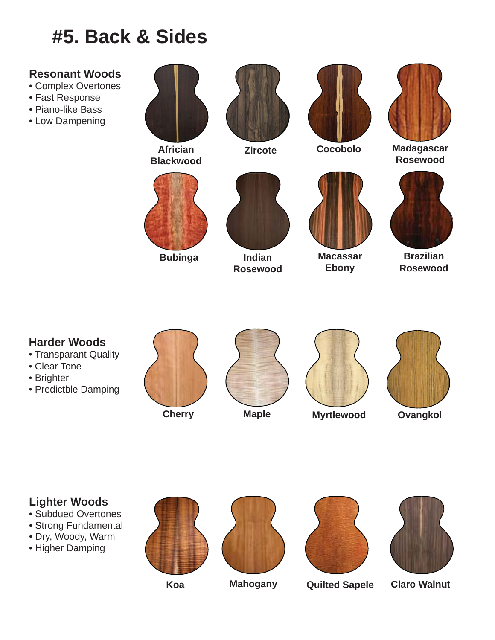# **#5. Back & Sides**

### **Resonant Woods**

- Complex Overtones
- Fast Response
- Piano-like Bass
- Low Dampening



**Africian Blackwood**



**Bubinga**





**Zircote Cocobolo**



**Macassar Ebony**



**Madagascar Rosewood**



**Brazilian Rosewood**

### **Harder Woods**

- Transparant Quality
- Clear Tone
- Brighter
- Predictble Damping





**Indian Rosewood**



**Cherry Maple Myrtlewood Ovangkol**



### **Lighter Woods**

- Subdued Overtones
- Strong Fundamental
- Dry, Woody, Warm
- Higher Damping







#### **Koa Mahogany Quilted Sapele Claro Walnut**